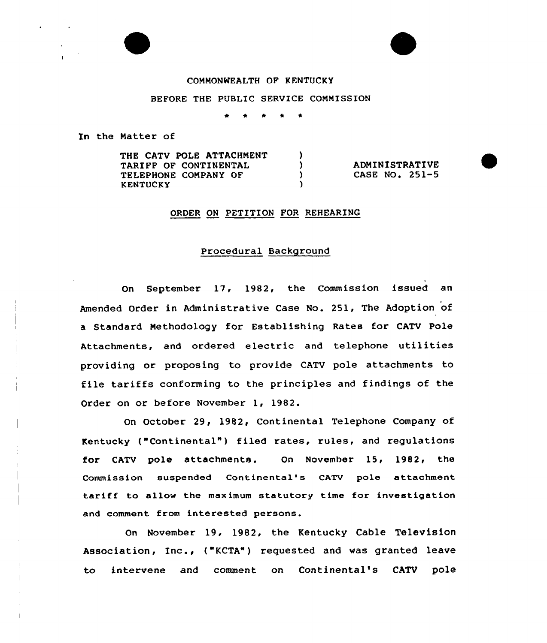## COMMONWEALTH OF KENTUCKY

BEFORE THE PUBLIC SERVICE COMMISSION

,  $\mathcal{L}$  $\lambda$ A.

In the Matter of

THE CATV POLE ATTACHMENT TARIFF QF CONTINENTAL TELEPHONE COMPANY OF KENTUCKY

ADMINISTRATIVE CASE NO. 251-5

### ORDER ON PETITION FOR REHEARING

# Procedural Background

On September 17, 1982, the Commission issued an Amended Order in Administrative Case No. 251, The Adoption of a Standard Methodology for Establishing Rates for CATV Pole Attachments, and ordered electric and telephone utilities providing or proposing to provide CATV pole attachments to file tariffs conforming to the principles and findings of the Order on or before November 1, 1982.

On October 29, 1982, Continental Telephone Company of Kentucky ("Continental" ) filed rates, rules, and regulations for CATV pole attachments. On November 15, 1982< the Commission suspended Continental's CATV pole attachment tariff to allow the maximum statutory time for investigation and comment from interested persons.

On November 19, 1982, the Kentucky Cable Television Association, Inc., ("KCTA") requested and was granted leave to intervene and comment on Continental's CATV pole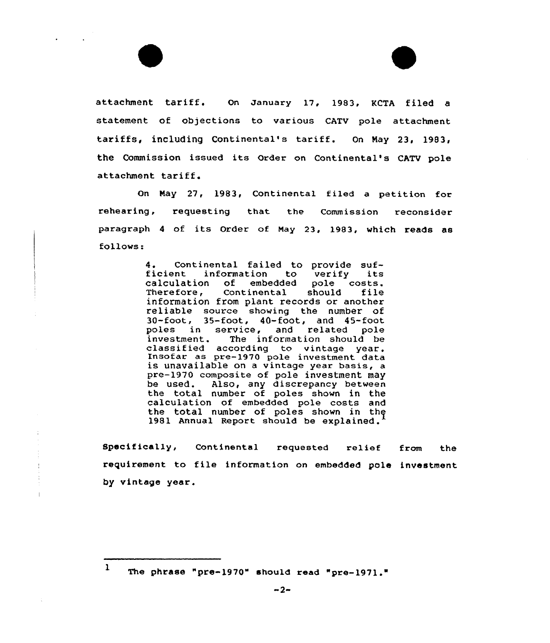attachment tariff. On January 17, 1983, KCTA filed <sup>a</sup> statement of objections to various CATV pole attachment tariffs, including Continental's tariff. On Nay 23, 1983, the Commission issued its Order on Continental's CATV pole attachment tariff.

On Nay 27, 1983, Continental filed a petition for rehearing, requesting that the Commission reconsider paxagxaph <sup>4</sup> of its Order of Nay 23, 1983, which reads as follows:

> 4. Continental failed to provide suf-<br>ficient information to verify its<br>calculation of embedded pole costs. calculation of embedded pole costs. Therefore, information from plant records or another<br>reliable source showing the number of  $30$ -foot,  $35$ -foot,  $40$ -foot, and  $45$ -foot poles in service, and related pole<br>investment. The information should be classified according to vintage year.<br>Insofar as pre-1970 pole investment data<br>is unavailable on a vintage year basis, a pre-1970 composite of pole investment may be used. Also, any discrepancy betwee the total number of poles shown in the calculation of embedded pole costs and the total number of poles shown in the 1981 Annual Report should be explained.

Specifically, Continental requested relief from the requirement to file information on embedded pole investment by vintage yeax.

<sup>1</sup> The phrase "pre-1970" should read "pre-1971."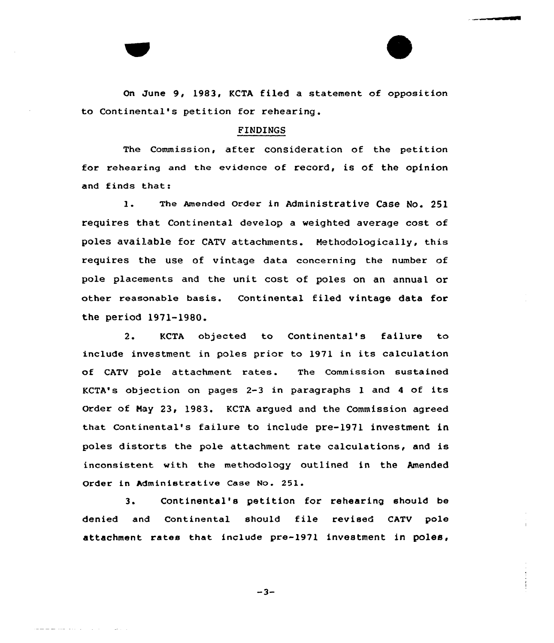On June 9, 1983, KCTA filed a statement of opposition to Continental's petition for rehearing.

### FINDINGS

The Commission, after consideration of the petition for rehearing and the evidence of record, is of the opinion and finds that:

1. The Amended order in Administrative Case No. <sup>251</sup> requires that Continental develop a weighted average cost of poles available for CATV attachments. Methodologically, this requires the use of vintage data concerning the number of pole placements and the unit cost of poles on an annual or other reasonable basis. Continental filed vintage data for the period 1971-1980.

2. KCTA objected to Continental's failure to include investment in poles prior to 1971 in its calculation of cATv pole attachment rates. The commission sustained KCTA's objection on pages 2-3 in paragraphs <sup>1</sup> and <sup>4</sup> of its Order of Nay 23, 1983. KCTA argued and the Commission agreed that Continental's failure to include pre-1971 investment in poles distorts the pole attachment rate calculations, and is inconsistent with the methodology outlined in the Amended Order in Administrative Case No. 251.

3. Continental's petition for rehearing should be denied and Continental should file revised CATV pole attachment rates that include pre-1971 investment in poles,

 $-3-$ 

المنادي المتواطئ المتحافظ فالمستعد